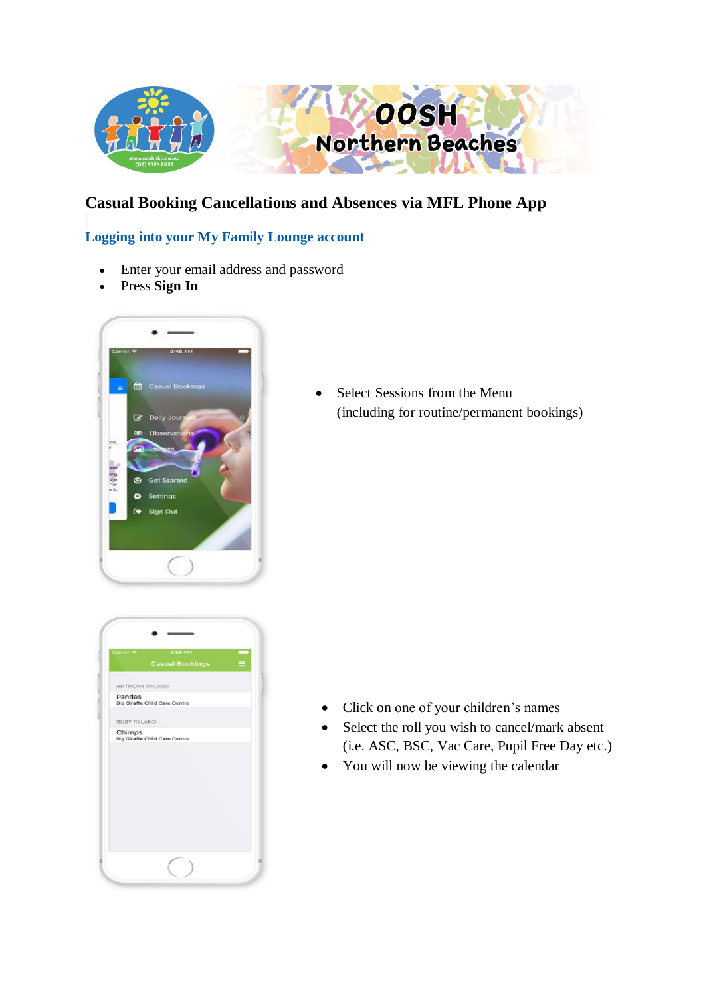

## **Casual Booking Cancellations and Absences via MFL Phone App**

## **Logging into your My Family Lounge account**

- Enter your email address and password
- Press **Sign In**



• Select Sessions from the Menu (including for routine/permanent bookings)

| Carrier <sup>9</sup> | 3:56 PM<br>Casual Bookings    |  |
|----------------------|-------------------------------|--|
|                      |                               |  |
| ANTHONY RYLAND       |                               |  |
| Pandas               | Big Giraffe Child Care Centre |  |
| RUBY RYLAND          |                               |  |
| Chimps               | Big Giraffe Child Care Centre |  |
|                      |                               |  |
|                      |                               |  |

- Click on one of your children's names
- Select the roll you wish to cancel/mark absent (i.e. ASC, BSC, Vac Care, Pupil Free Day etc.)
- You will now be viewing the calendar